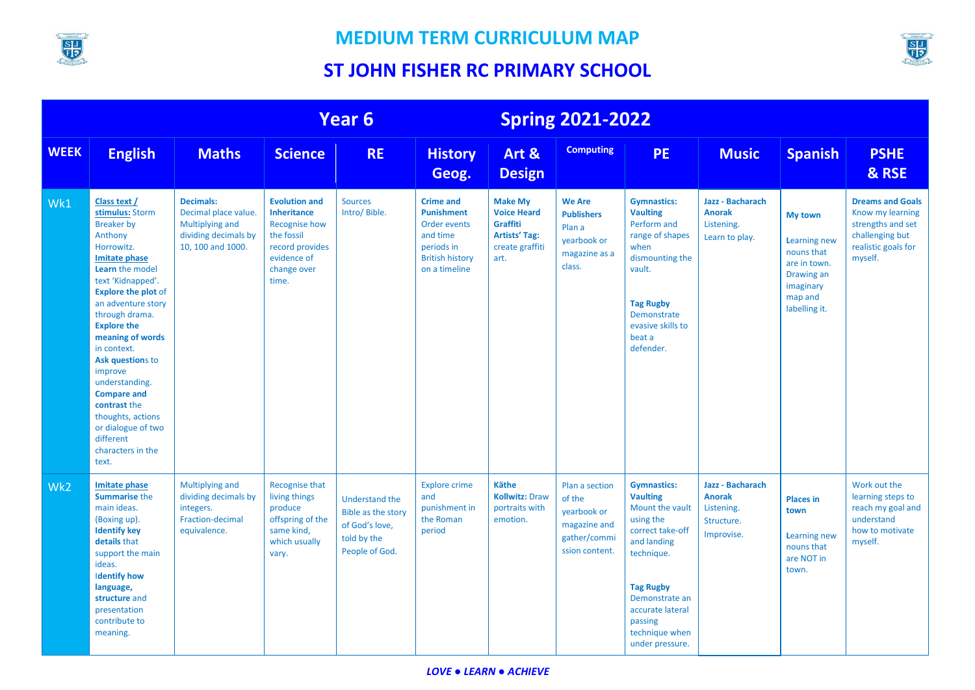



|                 | Year 6                                                                                                                                                                                                                                                                                                                                                                                                                                                    |                                                                                                                 |                                                                                                                                            |                                                                                                | <b>Spring 2021-2022</b>                                                                                                    |                                                                                                            |                                                                                           |                                                                                                                                                                                                                                  |                                                                             |                                                                                                                     |                                                                                                                       |
|-----------------|-----------------------------------------------------------------------------------------------------------------------------------------------------------------------------------------------------------------------------------------------------------------------------------------------------------------------------------------------------------------------------------------------------------------------------------------------------------|-----------------------------------------------------------------------------------------------------------------|--------------------------------------------------------------------------------------------------------------------------------------------|------------------------------------------------------------------------------------------------|----------------------------------------------------------------------------------------------------------------------------|------------------------------------------------------------------------------------------------------------|-------------------------------------------------------------------------------------------|----------------------------------------------------------------------------------------------------------------------------------------------------------------------------------------------------------------------------------|-----------------------------------------------------------------------------|---------------------------------------------------------------------------------------------------------------------|-----------------------------------------------------------------------------------------------------------------------|
| <b>WEEK</b>     | <b>English</b>                                                                                                                                                                                                                                                                                                                                                                                                                                            | <b>Maths</b>                                                                                                    | <b>Science</b>                                                                                                                             | <b>RE</b>                                                                                      | <b>History</b><br>Geog.                                                                                                    | Art &<br><b>Design</b>                                                                                     | <b>Computing</b>                                                                          | <b>PE</b>                                                                                                                                                                                                                        | <b>Music</b>                                                                | <b>Spanish</b>                                                                                                      | <b>PSHE</b><br>& RSE                                                                                                  |
| Wk1             | Class text /<br>stimulus: Storm<br><b>Breaker by</b><br>Anthony<br>Horrowitz.<br><b>Imitate phase</b><br>Learn the model<br>text 'Kidnapped'.<br><b>Explore the plot of</b><br>an adventure story<br>through drama.<br><b>Explore the</b><br>meaning of words<br>in context.<br>Ask questions to<br>improve<br>understanding.<br><b>Compare and</b><br>contrast the<br>thoughts, actions<br>or dialogue of two<br>different<br>characters in the<br>text. | <b>Decimals:</b><br>Decimal place value.<br><b>Multiplying and</b><br>dividing decimals by<br>10, 100 and 1000. | <b>Evolution and</b><br><b>Inheritance</b><br><b>Recognise how</b><br>the fossil<br>record provides<br>evidence of<br>change over<br>time. | <b>Sources</b><br>Intro/ Bible.                                                                | <b>Crime and</b><br><b>Punishment</b><br>Order events<br>and time<br>periods in<br><b>British history</b><br>on a timeline | <b>Make My</b><br><b>Voice Heard</b><br><b>Graffiti</b><br><b>Artists' Tag:</b><br>create graffiti<br>art. | <b>We Are</b><br><b>Publishers</b><br>Plan a<br>yearbook or<br>magazine as a<br>class.    | <b>Gymnastics:</b><br><b>Vaulting</b><br>Perform and<br>range of shapes<br>when<br>dismounting the<br>vault.<br><b>Tag Rugby</b><br>Demonstrate<br>evasive skills to<br>beat a<br>defender.                                      | Jazz - Bacharach<br><b>Anorak</b><br>Listening.<br>Learn to play.           | My town<br><b>Learning new</b><br>nouns that<br>are in town.<br>Drawing an<br>imaginary<br>map and<br>labelling it. | <b>Dreams and Goals</b><br>Know my learning<br>strengths and set<br>challenging but<br>realistic goals for<br>myself. |
| Wk <sub>2</sub> | <b>Imitate phase</b><br><b>Summarise the</b><br>main ideas.<br>(Boxing up).<br><b>Identify key</b><br>details that<br>support the main<br>ideas.<br><b>Identify how</b><br>language,<br>structure and<br>presentation<br>contribute to<br>meaning.                                                                                                                                                                                                        | Multiplying and<br>dividing decimals by<br>integers.<br>Fraction-decimal<br>equivalence.                        | <b>Recognise that</b><br>living things<br>produce<br>offspring of the<br>same kind,<br>which usually<br>vary.                              | <b>Understand the</b><br>Bible as the story<br>of God's love,<br>told by the<br>People of God. | <b>Explore crime</b><br>and<br>punishment in<br>the Roman<br>period                                                        | <b>Käthe</b><br><b>Kollwitz: Draw</b><br>portraits with<br>emotion.                                        | Plan a section<br>of the<br>yearbook or<br>magazine and<br>gather/commi<br>ssion content. | <b>Gymnastics:</b><br><b>Vaulting</b><br>Mount the vault<br>using the<br>correct take-off<br>and landing<br>technique.<br><b>Tag Rugby</b><br>Demonstrate an<br>accurate lateral<br>passing<br>technique when<br>under pressure. | Jazz - Bacharach<br><b>Anorak</b><br>Listening.<br>Structure.<br>Improvise. | <b>Places in</b><br>town<br><b>Learning new</b><br>nouns that<br>are NOT in<br>town.                                | Work out the<br>learning steps to<br>reach my goal and<br>understand<br>how to motivate<br>myself.                    |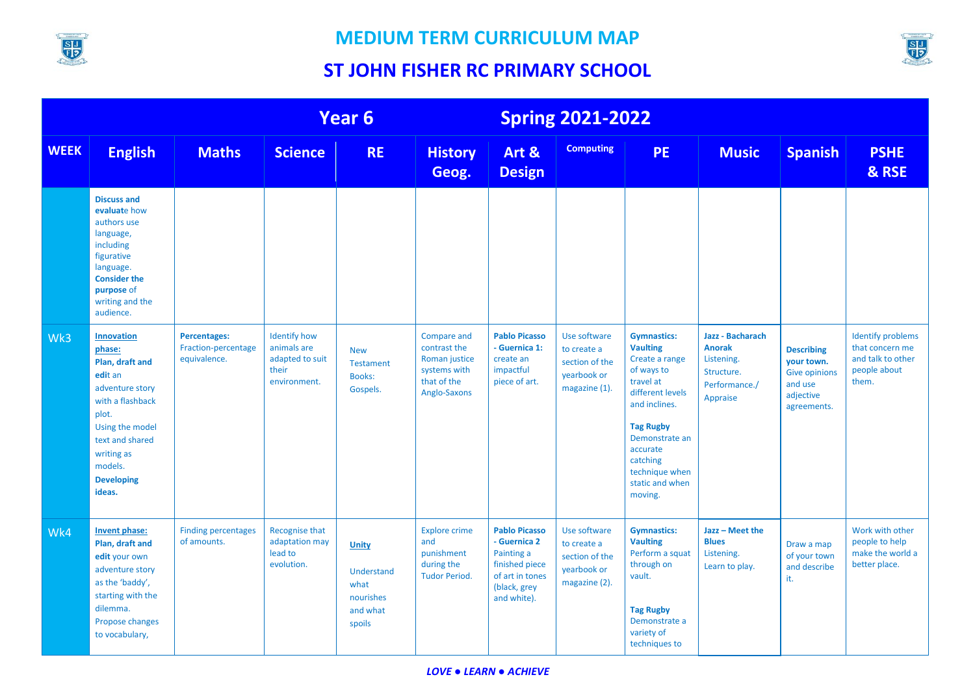

SIJ<br>FIZ

|             |                                                                                                                                                                                                         | <b>Year 6</b>                                              |                                                                                |                                                                | <b>Spring 2021-2022</b>                                                                            |                                                                                                                        |                                                                               |                                                                                                                                                                                                                                       |                                                                                            |                                                                                                |                                                                                           |
|-------------|---------------------------------------------------------------------------------------------------------------------------------------------------------------------------------------------------------|------------------------------------------------------------|--------------------------------------------------------------------------------|----------------------------------------------------------------|----------------------------------------------------------------------------------------------------|------------------------------------------------------------------------------------------------------------------------|-------------------------------------------------------------------------------|---------------------------------------------------------------------------------------------------------------------------------------------------------------------------------------------------------------------------------------|--------------------------------------------------------------------------------------------|------------------------------------------------------------------------------------------------|-------------------------------------------------------------------------------------------|
| <b>WEEK</b> | <b>English</b>                                                                                                                                                                                          | <b>Maths</b>                                               | <b>Science</b>                                                                 | <b>RE</b>                                                      | <b>History</b><br>Geog.                                                                            | Art &<br><b>Design</b>                                                                                                 | <b>Computing</b>                                                              | <b>PE</b>                                                                                                                                                                                                                             | <b>Music</b>                                                                               | <b>Spanish</b>                                                                                 | <b>PSHE</b><br>& RSE                                                                      |
|             | <b>Discuss and</b><br>evaluate how<br>authors use<br>language,<br>including<br>figurative<br>language.<br><b>Consider the</b><br>purpose of<br>writing and the<br>audience.                             |                                                            |                                                                                |                                                                |                                                                                                    |                                                                                                                        |                                                                               |                                                                                                                                                                                                                                       |                                                                                            |                                                                                                |                                                                                           |
| Wk3         | <b>Innovation</b><br>phase:<br>Plan, draft and<br>edit an<br>adventure story<br>with a flashback<br>plot.<br>Using the model<br>text and shared<br>writing as<br>models.<br><b>Developing</b><br>ideas. | <b>Percentages:</b><br>Fraction-percentage<br>equivalence. | <b>Identify how</b><br>animals are<br>adapted to suit<br>their<br>environment. | <b>New</b><br><b>Testament</b><br><b>Books:</b><br>Gospels.    | <b>Compare and</b><br>contrast the<br>Roman justice<br>systems with<br>that of the<br>Anglo-Saxons | <b>Pablo Picasso</b><br>- Guernica 1:<br>create an<br>impactful<br>piece of art.                                       | Use software<br>to create a<br>section of the<br>yearbook or<br>magazine (1). | <b>Gymnastics:</b><br><b>Vaulting</b><br>Create a range<br>of ways to<br>travel at<br>different levels<br>and inclines.<br><b>Tag Rugby</b><br>Demonstrate an<br>accurate<br>catching<br>technique when<br>static and when<br>moving. | Jazz - Bacharach<br><b>Anorak</b><br>Listening.<br>Structure.<br>Performance./<br>Appraise | <b>Describing</b><br>your town.<br><b>Give opinions</b><br>and use<br>adjective<br>agreements. | <b>Identify problems</b><br>that concern me<br>and talk to other<br>people about<br>them. |
| Wk4         | Invent phase:<br>Plan, draft and<br>edit your own<br>adventure story<br>as the 'baddy',<br>starting with the<br>dilemma.<br>Propose changes<br>to vocabulary,                                           | <b>Finding percentages</b><br>of amounts.                  | Recognise that<br>adaptation may<br>lead to<br>evolution.                      | Unity<br>Understand<br>what<br>nourishes<br>and what<br>spoils | <b>Explore crime</b><br>and<br>punishment<br>during the<br><b>Tudor Period.</b>                    | <b>Pablo Picasso</b><br>- Guernica 2<br>Painting a<br>finished piece<br>of art in tones<br>(black, grey<br>and white). | Use software<br>to create a<br>section of the<br>yearbook or<br>magazine (2). | <b>Gymnastics:</b><br><b>Vaulting</b><br>Perform a squat<br>through on<br>vault.<br><b>Tag Rugby</b><br>Demonstrate a<br>variety of<br>techniques to                                                                                  | Jazz - Meet the<br><b>Blues</b><br>Listening.<br>Learn to play.                            | Draw a map<br>of your town<br>and describe<br>it.                                              | Work with other<br>people to help<br>make the world a<br>better place.                    |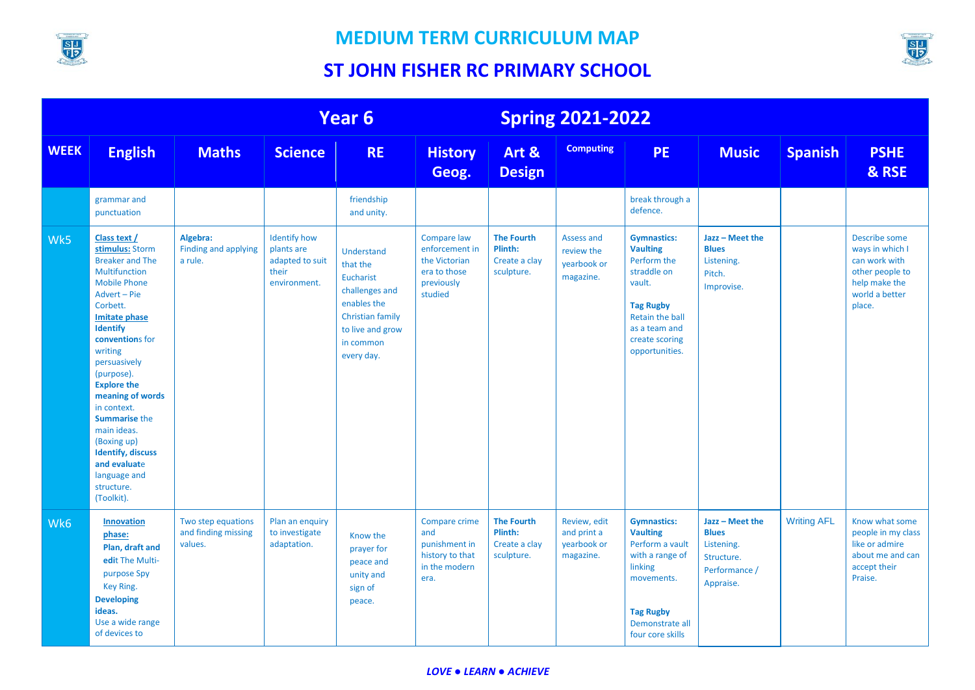



|             | Year 6                                                                                                                                                                                                                                                                                                                                                                                                                               |                                                      |                                                                               |                                                                                                                                         |                                                                                         | <b>Spring 2021-2022</b>                                     |                                                         |                                                                                                                                                                           |                                                                                           |                    |                                                                                                                   |
|-------------|--------------------------------------------------------------------------------------------------------------------------------------------------------------------------------------------------------------------------------------------------------------------------------------------------------------------------------------------------------------------------------------------------------------------------------------|------------------------------------------------------|-------------------------------------------------------------------------------|-----------------------------------------------------------------------------------------------------------------------------------------|-----------------------------------------------------------------------------------------|-------------------------------------------------------------|---------------------------------------------------------|---------------------------------------------------------------------------------------------------------------------------------------------------------------------------|-------------------------------------------------------------------------------------------|--------------------|-------------------------------------------------------------------------------------------------------------------|
| <b>WEEK</b> | <b>English</b>                                                                                                                                                                                                                                                                                                                                                                                                                       | <b>Maths</b>                                         | <b>Science</b>                                                                | <b>RE</b>                                                                                                                               | <b>History</b><br>Geog.                                                                 | Art &<br><b>Design</b>                                      | <b>Computing</b>                                        | <b>PE</b>                                                                                                                                                                 | <b>Music</b>                                                                              | <b>Spanish</b>     | <b>PSHE</b><br>& RSE                                                                                              |
|             | grammar and<br>punctuation                                                                                                                                                                                                                                                                                                                                                                                                           |                                                      |                                                                               | friendship<br>and unity.                                                                                                                |                                                                                         |                                                             |                                                         | break through a<br>defence.                                                                                                                                               |                                                                                           |                    |                                                                                                                   |
| Wk5         | Class text /<br>stimulus: Storm<br><b>Breaker and The</b><br>Multifunction<br><b>Mobile Phone</b><br>Advert - Pie<br>Corbett.<br>Imitate phase<br><b>Identify</b><br>conventions for<br>writing<br>persuasively<br>(purpose).<br><b>Explore the</b><br>meaning of words<br>in context.<br><b>Summarise the</b><br>main ideas.<br>(Boxing up)<br><b>Identify, discuss</b><br>and evaluate<br>language and<br>structure.<br>(Toolkit). | Algebra:<br>Finding and applying<br>a rule.          | <b>Identify how</b><br>plants are<br>adapted to suit<br>their<br>environment. | Understand<br>that the<br>Eucharist<br>challenges and<br>enables the<br>Christian family<br>to live and grow<br>in common<br>every day. | Compare law<br>enforcement in<br>the Victorian<br>era to those<br>previously<br>studied | <b>The Fourth</b><br>Plinth:<br>Create a clay<br>sculpture. | Assess and<br>review the<br>yearbook or<br>magazine.    | <b>Gymnastics:</b><br><b>Vaulting</b><br>Perform the<br>straddle on<br>vault.<br><b>Tag Rugby</b><br>Retain the ball<br>as a team and<br>create scoring<br>opportunities. | Jazz - Meet the<br><b>Blues</b><br>Listening.<br>Pitch.<br>Improvise.                     |                    | Describe some<br>ways in which I<br>can work with<br>other people to<br>help make the<br>world a better<br>place. |
| Wk6         | <b>Innovation</b><br>phase:<br>Plan, draft and<br>edit The Multi-<br>purpose Spy<br>Key Ring.<br><b>Developing</b><br>ideas.<br>Use a wide range<br>of devices to                                                                                                                                                                                                                                                                    | Two step equations<br>and finding missing<br>values. | Plan an enquiry<br>to investigate<br>adaptation.                              | Know the<br>prayer for<br>peace and<br>unity and<br>sign of<br>peace.                                                                   | Compare crime<br>and<br>punishment in<br>history to that<br>in the modern<br>era.       | <b>The Fourth</b><br>Plinth:<br>Create a clay<br>sculpture. | Review, edit<br>and print a<br>yearbook or<br>magazine. | <b>Gymnastics:</b><br><b>Vaulting</b><br>Perform a vault<br>with a range of<br>linking<br>movements.<br><b>Tag Rugby</b><br>Demonstrate all<br>four core skills           | Jazz - Meet the<br><b>Blues</b><br>Listening.<br>Structure.<br>Performance /<br>Appraise. | <b>Writing AFL</b> | Know what some<br>people in my class<br>like or admire<br>about me and can<br>accept their<br>Praise.             |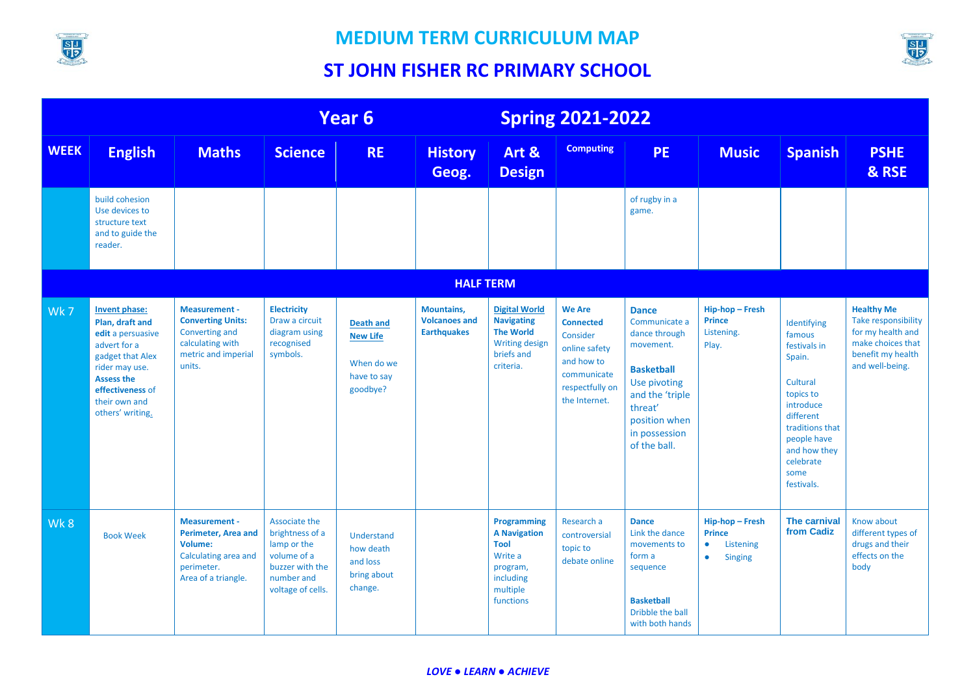



|             |                                                                                                                                                                                           |                                                                                                                            |                                                                                                                      | Year 6                                                                       |                                                                 |                                                                                                                   | <b>Spring 2021-2022</b>                                                                                                         |                                                                                                                                                                                  |                                                                                         |                                                                                                                                                                                         |                                                                                                                            |
|-------------|-------------------------------------------------------------------------------------------------------------------------------------------------------------------------------------------|----------------------------------------------------------------------------------------------------------------------------|----------------------------------------------------------------------------------------------------------------------|------------------------------------------------------------------------------|-----------------------------------------------------------------|-------------------------------------------------------------------------------------------------------------------|---------------------------------------------------------------------------------------------------------------------------------|----------------------------------------------------------------------------------------------------------------------------------------------------------------------------------|-----------------------------------------------------------------------------------------|-----------------------------------------------------------------------------------------------------------------------------------------------------------------------------------------|----------------------------------------------------------------------------------------------------------------------------|
| <b>WEEK</b> | <b>English</b>                                                                                                                                                                            | <b>Maths</b>                                                                                                               | <b>Science</b>                                                                                                       | <b>RE</b>                                                                    | <b>History</b><br>Geog.                                         | Art &<br><b>Design</b>                                                                                            | <b>Computing</b>                                                                                                                | <b>PE</b>                                                                                                                                                                        | <b>Music</b>                                                                            | <b>Spanish</b>                                                                                                                                                                          | <b>PSHE</b><br>& RSE                                                                                                       |
|             | build cohesion<br>Use devices to<br>structure text<br>and to guide the<br>reader.                                                                                                         |                                                                                                                            |                                                                                                                      |                                                                              |                                                                 |                                                                                                                   |                                                                                                                                 | of rugby in a<br>game.                                                                                                                                                           |                                                                                         |                                                                                                                                                                                         |                                                                                                                            |
|             |                                                                                                                                                                                           |                                                                                                                            |                                                                                                                      |                                                                              | <b>HALF TERM</b>                                                |                                                                                                                   |                                                                                                                                 |                                                                                                                                                                                  |                                                                                         |                                                                                                                                                                                         |                                                                                                                            |
| Wk7         | Invent phase:<br>Plan, draft and<br>edit a persuasive<br>advert for a<br>gadget that Alex<br>rider may use.<br><b>Assess the</b><br>effectiveness of<br>their own and<br>others' writing. | <b>Measurement -</b><br><b>Converting Units:</b><br>Converting and<br>calculating with<br>metric and imperial<br>units.    | <b>Electricity</b><br>Draw a circuit<br>diagram using<br>recognised<br>symbols.                                      | <b>Death and</b><br><b>New Life</b><br>When do we<br>have to say<br>goodbye? | <b>Mountains,</b><br><b>Volcanoes and</b><br><b>Earthquakes</b> | <b>Digital World</b><br><b>Navigating</b><br><b>The World</b><br><b>Writing design</b><br>briefs and<br>criteria. | <b>We Are</b><br><b>Connected</b><br>Consider<br>online safety<br>and how to<br>communicate<br>respectfully on<br>the Internet. | <b>Dance</b><br>Communicate a<br>dance through<br>movement.<br><b>Basketball</b><br>Use pivoting<br>and the 'triple<br>threat'<br>position when<br>in possession<br>of the ball. | Hip-hop-Fresh<br><b>Prince</b><br>Listening.<br>Play.                                   | Identifying<br>famous<br>festivals in<br>Spain.<br>Cultural<br>topics to<br>introduce<br>different<br>traditions that<br>people have<br>and how they<br>celebrate<br>some<br>festivals. | <b>Healthy Me</b><br>Take responsibility<br>for my health and<br>make choices that<br>benefit my health<br>and well-being. |
| Wk8         | <b>Book Week</b>                                                                                                                                                                          | <b>Measurement -</b><br><b>Perimeter, Area and</b><br>Volume:<br>Calculating area and<br>perimeter.<br>Area of a triangle. | Associate the<br>brightness of a<br>lamp or the<br>volume of a<br>buzzer with the<br>number and<br>voltage of cells. | Understand<br>how death<br>and loss<br>bring about<br>change.                |                                                                 | Programming<br><b>A Navigation</b><br><b>Tool</b><br>Write a<br>program,<br>including<br>multiple<br>functions    | Research a<br>controversial<br>topic to<br>debate online                                                                        | <b>Dance</b><br>Link the dance<br>movements to<br>form a<br>sequence<br><b>Basketball</b><br>Dribble the ball<br>with both hands                                                 | Hip-hop-Fresh<br><b>Prince</b><br>Listening<br>$\bullet$<br><b>Singing</b><br>$\bullet$ | <b>The carnival</b><br>from Cadiz                                                                                                                                                       | Know about<br>different types of<br>drugs and their<br>effects on the<br>body                                              |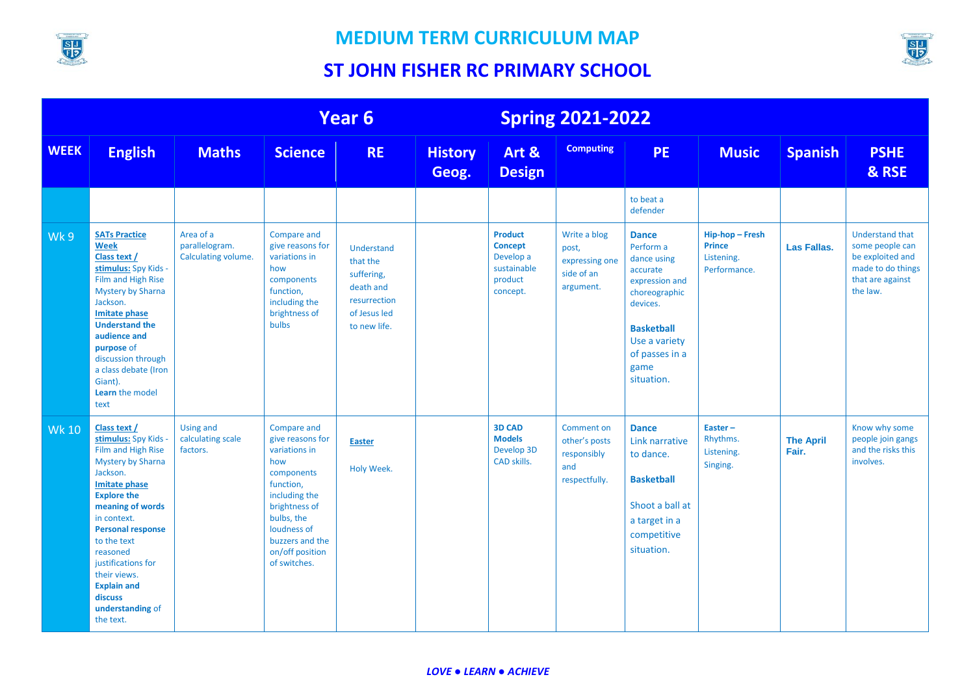



|              | Year 6                                                                                                                                                                                                                                                                                                                                             |                                                    |                                                                                                                                                                                                         | <b>Spring 2021-2022</b>                                                                                  |                         |                                                                                     |                                                                    |                                                                                                                                                                                   |                                                              |                           |                                                                                                                    |
|--------------|----------------------------------------------------------------------------------------------------------------------------------------------------------------------------------------------------------------------------------------------------------------------------------------------------------------------------------------------------|----------------------------------------------------|---------------------------------------------------------------------------------------------------------------------------------------------------------------------------------------------------------|----------------------------------------------------------------------------------------------------------|-------------------------|-------------------------------------------------------------------------------------|--------------------------------------------------------------------|-----------------------------------------------------------------------------------------------------------------------------------------------------------------------------------|--------------------------------------------------------------|---------------------------|--------------------------------------------------------------------------------------------------------------------|
| <b>WEEK</b>  | <b>English</b>                                                                                                                                                                                                                                                                                                                                     | <b>Maths</b>                                       | <b>Science</b>                                                                                                                                                                                          | <b>RE</b>                                                                                                | <b>History</b><br>Geog. | Art &<br><b>Design</b>                                                              | <b>Computing</b>                                                   | <b>PE</b>                                                                                                                                                                         | <b>Music</b>                                                 | <b>Spanish</b>            | <b>PSHE</b><br>& RSE                                                                                               |
|              |                                                                                                                                                                                                                                                                                                                                                    |                                                    |                                                                                                                                                                                                         |                                                                                                          |                         |                                                                                     |                                                                    | to beat a<br>defender                                                                                                                                                             |                                                              |                           |                                                                                                                    |
| Wk 9         | <b>SATs Practice</b><br><b>Week</b><br>Class text /<br>stimulus: Spy Kids -<br>Film and High Rise<br><b>Mystery by Sharna</b><br>Jackson.<br><b>Imitate phase</b><br><b>Understand the</b><br>audience and<br>purpose of<br>discussion through<br>a class debate (Iron<br>Giant).<br>Learn the model<br>text                                       | Area of a<br>parallelogram.<br>Calculating volume. | Compare and<br>give reasons for<br>variations in<br>how<br>components<br>function,<br>including the<br>brightness of<br><b>bulbs</b>                                                                    | <b>Understand</b><br>that the<br>suffering,<br>death and<br>resurrection<br>of Jesus led<br>to new life. |                         | <b>Product</b><br><b>Concept</b><br>Develop a<br>sustainable<br>product<br>concept. | Write a blog<br>post,<br>expressing one<br>side of an<br>argument. | <b>Dance</b><br>Perform a<br>dance using<br>accurate<br>expression and<br>choreographic<br>devices.<br><b>Basketball</b><br>Use a variety<br>of passes in a<br>game<br>situation. | Hip-hop-Fresh<br><b>Prince</b><br>Listening.<br>Performance. | Las Fallas.               | <b>Understand that</b><br>some people can<br>be exploited and<br>made to do things<br>that are against<br>the law. |
| <b>Wk 10</b> | Class text /<br>stimulus: Spy Kids -<br>Film and High Rise<br><b>Mystery by Sharna</b><br>Jackson.<br><b>Imitate phase</b><br><b>Explore the</b><br>meaning of words<br>in context.<br><b>Personal response</b><br>to the text<br>reasoned<br>justifications for<br>their views.<br><b>Explain and</b><br>discuss<br>understanding of<br>the text. | <b>Using and</b><br>calculating scale<br>factors.  | Compare and<br>give reasons for<br>variations in<br>how<br>components<br>function,<br>including the<br>brightness of<br>bulbs, the<br>loudness of<br>buzzers and the<br>on/off position<br>of switches. | <b>Easter</b><br>Holy Week.                                                                              |                         | <b>3D CAD</b><br><b>Models</b><br>Develop 3D<br>CAD skills.                         | Comment on<br>other's posts<br>responsibly<br>and<br>respectfully. | <b>Dance</b><br>Link narrative<br>to dance.<br><b>Basketball</b><br>Shoot a ball at<br>a target in a<br>competitive<br>situation.                                                 | Easter-<br>Rhythms.<br>Listening.<br>Singing.                | <b>The April</b><br>Fair. | Know why some<br>people join gangs<br>and the risks this<br>involves.                                              |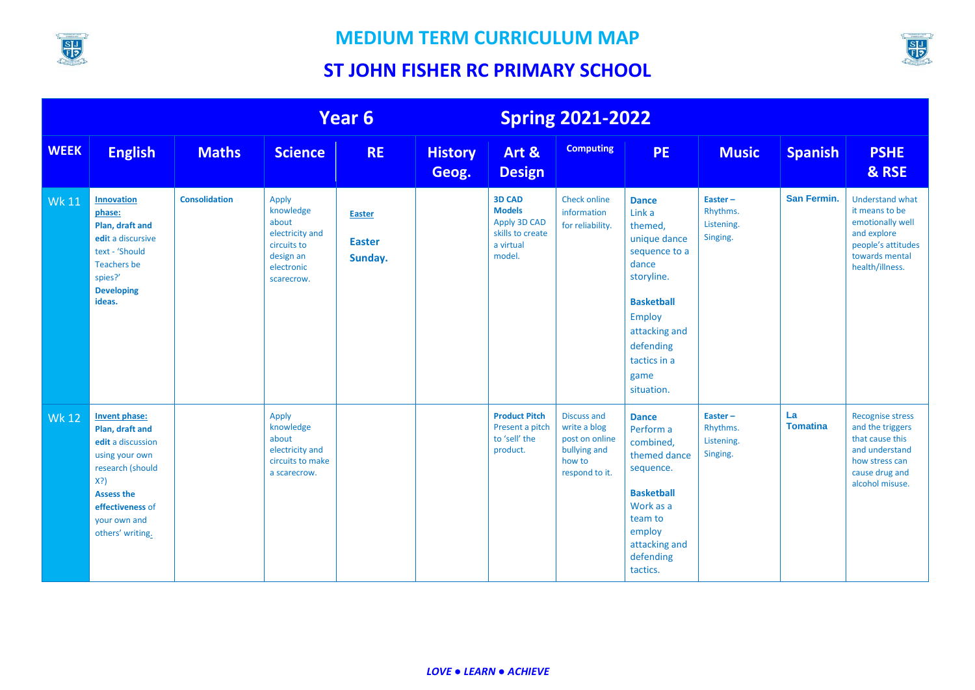



|              | Year 6                                                                                                                                                                             |                      |                                                                                                        | <b>Spring 2021-2022</b>                   |                         |                                                                                           |                                                                                                  |                                                                                                                                                                                                     |                                               |                       |                                                                                                                                         |
|--------------|------------------------------------------------------------------------------------------------------------------------------------------------------------------------------------|----------------------|--------------------------------------------------------------------------------------------------------|-------------------------------------------|-------------------------|-------------------------------------------------------------------------------------------|--------------------------------------------------------------------------------------------------|-----------------------------------------------------------------------------------------------------------------------------------------------------------------------------------------------------|-----------------------------------------------|-----------------------|-----------------------------------------------------------------------------------------------------------------------------------------|
| <b>WEEK</b>  | <b>English</b>                                                                                                                                                                     | <b>Maths</b>         | <b>Science</b>                                                                                         | <b>RE</b>                                 | <b>History</b><br>Geog. | Art &<br><b>Design</b>                                                                    | <b>Computing</b>                                                                                 | <b>PE</b>                                                                                                                                                                                           | <b>Music</b>                                  | <b>Spanish</b>        | <b>PSHE</b><br>& RSE                                                                                                                    |
| <b>Wk 11</b> | <b>Innovation</b><br>phase:<br>Plan, draft and<br>edit a discursive<br>text - 'Should<br><b>Teachers be</b><br>spies?'<br><b>Developing</b><br>ideas.                              | <b>Consolidation</b> | Apply<br>knowledge<br>about<br>electricity and<br>circuits to<br>design an<br>electronic<br>scarecrow. | <b>Easter</b><br><b>Easter</b><br>Sunday. |                         | <b>3D CAD</b><br><b>Models</b><br>Apply 3D CAD<br>skills to create<br>a virtual<br>model. | <b>Check online</b><br>information<br>for reliability.                                           | <b>Dance</b><br>Link a<br>themed,<br>unique dance<br>sequence to a<br>dance<br>storyline.<br><b>Basketball</b><br><b>Employ</b><br>attacking and<br>defending<br>tactics in a<br>game<br>situation. | Easter-<br>Rhythms.<br>Listening.<br>Singing. | San Fermin.           | <b>Understand what</b><br>it means to be<br>emotionally well<br>and explore<br>people's attitudes<br>towards mental<br>health/illness.  |
| <b>Wk 12</b> | Invent phase:<br>Plan, draft and<br>edit a discussion<br>using your own<br>research (should<br>$X$ ?)<br><b>Assess the</b><br>effectiveness of<br>your own and<br>others' writing. |                      | Apply<br>knowledge<br>about<br>electricity and<br>circuits to make<br>a scarecrow.                     |                                           |                         | <b>Product Pitch</b><br>Present a pitch<br>to 'sell' the<br>product.                      | <b>Discuss and</b><br>write a blog<br>post on online<br>bullying and<br>how to<br>respond to it. | <b>Dance</b><br>Perform a<br>combined,<br>themed dance<br>sequence.<br><b>Basketball</b><br>Work as a<br>team to<br>employ<br>attacking and<br>defending<br>tactics.                                | Easter-<br>Rhythms.<br>Listening.<br>Singing. | La<br><b>Tomatina</b> | <b>Recognise stress</b><br>and the triggers<br>that cause this<br>and understand<br>how stress can<br>cause drug and<br>alcohol misuse. |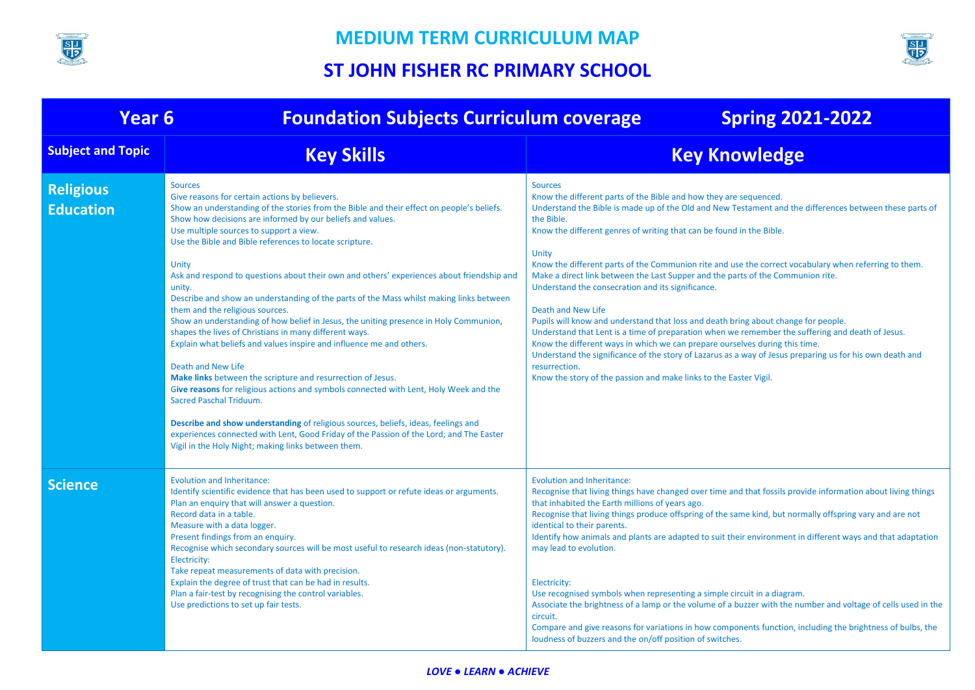



| Year <sub>6</sub>                    | <b>Foundation Subjects Curriculum coverage</b>                                                                                                                                                                                                                                                                                                                                                                                                                                                                                                                                                                                                                                                                                                                                                                                                                                                                                                                                                                                                                                                                                                                                                                                                                     | <b>Spring 2021-2022</b>                                                                                                                                                                                                                                                                                                                                                                                                                                                                                                                                                                                                                                                                                                                                                                                                                                                                                                                                                                                                                         |
|--------------------------------------|--------------------------------------------------------------------------------------------------------------------------------------------------------------------------------------------------------------------------------------------------------------------------------------------------------------------------------------------------------------------------------------------------------------------------------------------------------------------------------------------------------------------------------------------------------------------------------------------------------------------------------------------------------------------------------------------------------------------------------------------------------------------------------------------------------------------------------------------------------------------------------------------------------------------------------------------------------------------------------------------------------------------------------------------------------------------------------------------------------------------------------------------------------------------------------------------------------------------------------------------------------------------|-------------------------------------------------------------------------------------------------------------------------------------------------------------------------------------------------------------------------------------------------------------------------------------------------------------------------------------------------------------------------------------------------------------------------------------------------------------------------------------------------------------------------------------------------------------------------------------------------------------------------------------------------------------------------------------------------------------------------------------------------------------------------------------------------------------------------------------------------------------------------------------------------------------------------------------------------------------------------------------------------------------------------------------------------|
| <b>Subject and Topic</b>             | <b>Key Skills</b>                                                                                                                                                                                                                                                                                                                                                                                                                                                                                                                                                                                                                                                                                                                                                                                                                                                                                                                                                                                                                                                                                                                                                                                                                                                  | <b>Key Knowledge</b>                                                                                                                                                                                                                                                                                                                                                                                                                                                                                                                                                                                                                                                                                                                                                                                                                                                                                                                                                                                                                            |
| <b>Religious</b><br><b>Education</b> | <b>Sources</b><br>Give reasons for certain actions by believers.<br>Show an understanding of the stories from the Bible and their effect on people's beliefs.<br>Show how decisions are informed by our beliefs and values.<br>Use multiple sources to support a view.<br>Use the Bible and Bible references to locate scripture.<br>Unity<br>Ask and respond to questions about their own and others' experiences about friendship and<br>unity.<br>Describe and show an understanding of the parts of the Mass whilst making links between<br>them and the religious sources.<br>Show an understanding of how belief in Jesus, the uniting presence in Holy Communion,<br>shapes the lives of Christians in many different ways.<br>Explain what beliefs and values inspire and influence me and others.<br>Death and New Life<br>Make links between the scripture and resurrection of Jesus.<br>Give reasons for religious actions and symbols connected with Lent, Holy Week and the<br><b>Sacred Paschal Triduum.</b><br>Describe and show understanding of religious sources, beliefs, ideas, feelings and<br>experiences connected with Lent, Good Friday of the Passion of the Lord; and The Easter<br>Vigil in the Holy Night; making links between them. | <b>Sources</b><br>Know the different parts of the Bible and how they are sequenced.<br>Understand the Bible is made up of the Old and New Testament and the differences between these parts of<br>the Bible.<br>Know the different genres of writing that can be found in the Bible.<br>Unity<br>Know the different parts of the Communion rite and use the correct vocabulary when referring to them.<br>Make a direct link between the Last Supper and the parts of the Communion rite.<br>Understand the consecration and its significance.<br>Death and New Life<br>Pupils will know and understand that loss and death bring about change for people.<br>Understand that Lent is a time of preparation when we remember the suffering and death of Jesus.<br>Know the different ways in which we can prepare ourselves during this time.<br>Understand the significance of the story of Lazarus as a way of Jesus preparing us for his own death and<br>resurrection.<br>Know the story of the passion and make links to the Easter Vigil. |
| <b>Science</b>                       | <b>Evolution and Inheritance:</b><br>Identify scientific evidence that has been used to support or refute ideas or arguments.<br>Plan an enquiry that will answer a question.<br>Record data in a table.<br>Measure with a data logger.<br>Present findings from an enquiry.<br>Recognise which secondary sources will be most useful to research ideas (non-statutory).<br>Electricity:<br>Take repeat measurements of data with precision.<br>Explain the degree of trust that can be had in results.<br>Plan a fair-test by recognising the control variables.<br>Use predictions to set up fair tests.                                                                                                                                                                                                                                                                                                                                                                                                                                                                                                                                                                                                                                                         | <b>Evolution and Inheritance:</b><br>Recognise that living things have changed over time and that fossils provide information about living things<br>that inhabited the Earth millions of years ago.<br>Recognise that living things produce offspring of the same kind, but normally offspring vary and are not<br>identical to their parents.<br>Identify how animals and plants are adapted to suit their environment in different ways and that adaptation<br>may lead to evolution.<br>Electricity:<br>Use recognised symbols when representing a simple circuit in a diagram.<br>Associate the brightness of a lamp or the volume of a buzzer with the number and voltage of cells used in the<br>circuit.<br>Compare and give reasons for variations in how components function, including the brightness of bulbs, the<br>loudness of buzzers and the on/off position of switches.                                                                                                                                                      |

#### *LOVE ● LEARN ● ACHIEVE*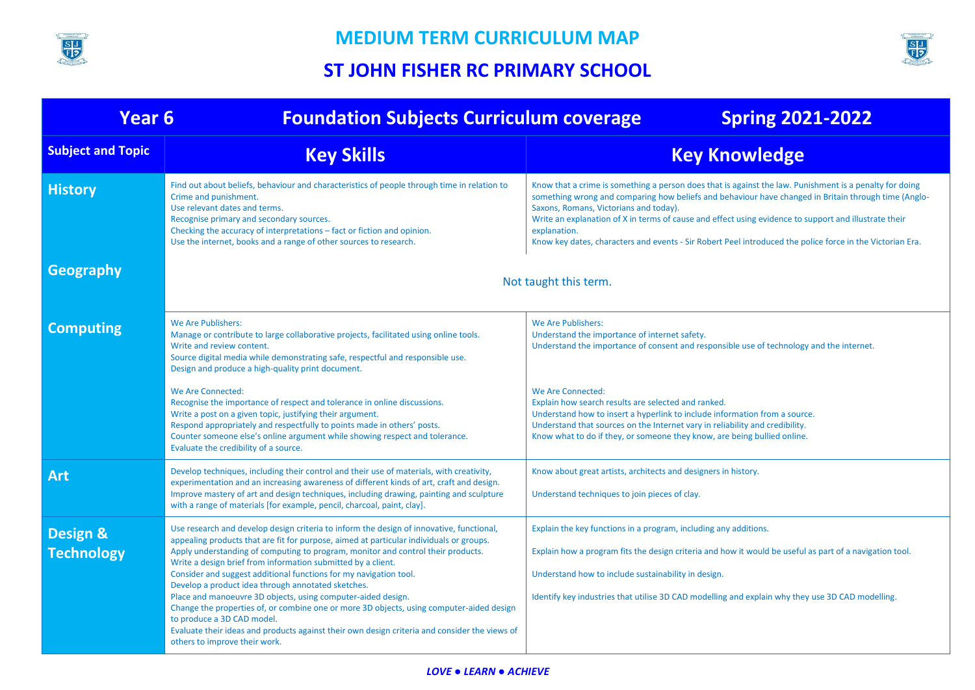



| Year <sub>6</sub>                        | <b>Foundation Subjects Curriculum coverage</b>                                                                                                                                                                                                                                                                                                                                                                                                                                                                                                                                                                                                                                                                                                                                                 | <b>Spring 2021-2022</b>                                                                                                                                                                                                                                                                                                                                                                                                                                                                         |  |  |  |  |
|------------------------------------------|------------------------------------------------------------------------------------------------------------------------------------------------------------------------------------------------------------------------------------------------------------------------------------------------------------------------------------------------------------------------------------------------------------------------------------------------------------------------------------------------------------------------------------------------------------------------------------------------------------------------------------------------------------------------------------------------------------------------------------------------------------------------------------------------|-------------------------------------------------------------------------------------------------------------------------------------------------------------------------------------------------------------------------------------------------------------------------------------------------------------------------------------------------------------------------------------------------------------------------------------------------------------------------------------------------|--|--|--|--|
| <b>Subject and Topic</b>                 | <b>Key Skills</b>                                                                                                                                                                                                                                                                                                                                                                                                                                                                                                                                                                                                                                                                                                                                                                              | <b>Key Knowledge</b>                                                                                                                                                                                                                                                                                                                                                                                                                                                                            |  |  |  |  |
| <b>History</b>                           | Find out about beliefs, behaviour and characteristics of people through time in relation to<br>Crime and punishment.<br>Use relevant dates and terms.<br>Recognise primary and secondary sources.<br>Checking the accuracy of interpretations – fact or fiction and opinion.<br>Use the internet, books and a range of other sources to research.                                                                                                                                                                                                                                                                                                                                                                                                                                              | Know that a crime is something a person does that is against the law. Punishment is a penalty for doing<br>something wrong and comparing how beliefs and behaviour have changed in Britain through time (Anglo-<br>Saxons, Romans, Victorians and today).<br>Write an explanation of X in terms of cause and effect using evidence to support and illustrate their<br>explanation.<br>Know key dates, characters and events - Sir Robert Peel introduced the police force in the Victorian Era. |  |  |  |  |
| Geography                                |                                                                                                                                                                                                                                                                                                                                                                                                                                                                                                                                                                                                                                                                                                                                                                                                | Not taught this term.                                                                                                                                                                                                                                                                                                                                                                                                                                                                           |  |  |  |  |
| <b>Computing</b>                         | We Are Publishers:<br>Manage or contribute to large collaborative projects, facilitated using online tools.<br>Write and review content.<br>Source digital media while demonstrating safe, respectful and responsible use.<br>Design and produce a high-quality print document.                                                                                                                                                                                                                                                                                                                                                                                                                                                                                                                | We Are Publishers:<br>Understand the importance of internet safety.<br>Understand the importance of consent and responsible use of technology and the internet.                                                                                                                                                                                                                                                                                                                                 |  |  |  |  |
|                                          | We Are Connected:<br>Recognise the importance of respect and tolerance in online discussions.<br>Write a post on a given topic, justifying their argument.<br>Respond appropriately and respectfully to points made in others' posts.<br>Counter someone else's online argument while showing respect and tolerance.<br>Evaluate the credibility of a source.                                                                                                                                                                                                                                                                                                                                                                                                                                  | We Are Connected:<br>Explain how search results are selected and ranked.<br>Understand how to insert a hyperlink to include information from a source.<br>Understand that sources on the Internet vary in reliability and credibility.<br>Know what to do if they, or someone they know, are being bullied online.                                                                                                                                                                              |  |  |  |  |
| <b>Art</b>                               | Develop techniques, including their control and their use of materials, with creativity,<br>experimentation and an increasing awareness of different kinds of art, craft and design.<br>Improve mastery of art and design techniques, including drawing, painting and sculpture<br>with a range of materials [for example, pencil, charcoal, paint, clay].                                                                                                                                                                                                                                                                                                                                                                                                                                     | Know about great artists, architects and designers in history.<br>Understand techniques to join pieces of clay.                                                                                                                                                                                                                                                                                                                                                                                 |  |  |  |  |
| <b>Design &amp;</b><br><b>Technology</b> | Use research and develop design criteria to inform the design of innovative, functional,<br>appealing products that are fit for purpose, aimed at particular individuals or groups.<br>Apply understanding of computing to program, monitor and control their products.<br>Write a design brief from information submitted by a client.<br>Consider and suggest additional functions for my navigation tool.<br>Develop a product idea through annotated sketches.<br>Place and manoeuvre 3D objects, using computer-aided design.<br>Change the properties of, or combine one or more 3D objects, using computer-aided design<br>to produce a 3D CAD model.<br>Evaluate their ideas and products against their own design criteria and consider the views of<br>others to improve their work. | Explain the key functions in a program, including any additions.<br>Explain how a program fits the design criteria and how it would be useful as part of a navigation tool.<br>Understand how to include sustainability in design.<br>Identify key industries that utilise 3D CAD modelling and explain why they use 3D CAD modelling.                                                                                                                                                          |  |  |  |  |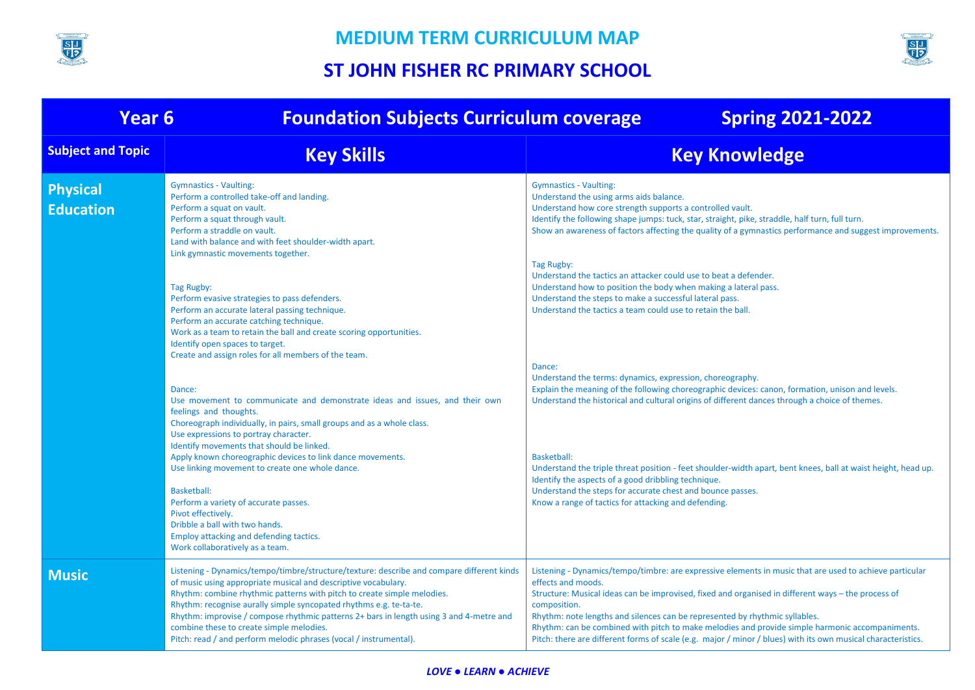



| <b>Year 6</b>                       | <b>Foundation Subjects Curriculum coverage</b>                                                                                                                                                                                                                                                                                                                                                                                                                                                                           | <b>Spring 2021-2022</b>                                                                                                                                                                                                                                                                                                                                                                                                                                                                                                                               |
|-------------------------------------|--------------------------------------------------------------------------------------------------------------------------------------------------------------------------------------------------------------------------------------------------------------------------------------------------------------------------------------------------------------------------------------------------------------------------------------------------------------------------------------------------------------------------|-------------------------------------------------------------------------------------------------------------------------------------------------------------------------------------------------------------------------------------------------------------------------------------------------------------------------------------------------------------------------------------------------------------------------------------------------------------------------------------------------------------------------------------------------------|
| <b>Subject and Topic</b>            | <b>Key Skills</b>                                                                                                                                                                                                                                                                                                                                                                                                                                                                                                        | <b>Key Knowledge</b>                                                                                                                                                                                                                                                                                                                                                                                                                                                                                                                                  |
| <b>Physical</b><br><b>Education</b> | <b>Gymnastics - Vaulting:</b><br>Perform a controlled take-off and landing.<br>Perform a squat on vault.<br>Perform a squat through vault.<br>Perform a straddle on vault.<br>Land with balance and with feet shoulder-width apart.<br>Link gymnastic movements together.                                                                                                                                                                                                                                                | <b>Gymnastics - Vaulting:</b><br>Understand the using arms aids balance.<br>Understand how core strength supports a controlled vault.<br>Identify the following shape jumps: tuck, star, straight, pike, straddle, half turn, full turn.<br>Show an awareness of factors affecting the quality of a gymnastics performance and suggest improvements.                                                                                                                                                                                                  |
|                                     | Tag Rugby:<br>Perform evasive strategies to pass defenders.<br>Perform an accurate lateral passing technique.<br>Perform an accurate catching technique.<br>Work as a team to retain the ball and create scoring opportunities.<br>Identify open spaces to target.<br>Create and assign roles for all members of the team.                                                                                                                                                                                               | Tag Rugby:<br>Understand the tactics an attacker could use to beat a defender.<br>Understand how to position the body when making a lateral pass.<br>Understand the steps to make a successful lateral pass.<br>Understand the tactics a team could use to retain the ball.                                                                                                                                                                                                                                                                           |
|                                     | Dance:<br>Use movement to communicate and demonstrate ideas and issues, and their own<br>feelings and thoughts.<br>Choreograph individually, in pairs, small groups and as a whole class.<br>Use expressions to portray character.                                                                                                                                                                                                                                                                                       | Dance:<br>Understand the terms: dynamics, expression, choreography.<br>Explain the meaning of the following choreographic devices: canon, formation, unison and levels.<br>Understand the historical and cultural origins of different dances through a choice of themes.                                                                                                                                                                                                                                                                             |
|                                     | Identify movements that should be linked.<br>Apply known choreographic devices to link dance movements.<br>Use linking movement to create one whole dance.<br>Basketball:<br>Perform a variety of accurate passes.<br>Pivot effectively.<br>Dribble a ball with two hands.<br>Employ attacking and defending tactics.<br>Work collaboratively as a team.                                                                                                                                                                 | <b>Basketball:</b><br>Understand the triple threat position - feet shoulder-width apart, bent knees, ball at waist height, head up.<br>Identify the aspects of a good dribbling technique.<br>Understand the steps for accurate chest and bounce passes.<br>Know a range of tactics for attacking and defending.                                                                                                                                                                                                                                      |
| <b>Music</b>                        | Listening - Dynamics/tempo/timbre/structure/texture: describe and compare different kinds<br>of music using appropriate musical and descriptive vocabulary.<br>Rhythm: combine rhythmic patterns with pitch to create simple melodies.<br>Rhythm: recognise aurally simple syncopated rhythms e.g. te-ta-te.<br>Rhythm: improvise / compose rhythmic patterns 2+ bars in length using 3 and 4-metre and<br>combine these to create simple melodies.<br>Pitch: read / and perform melodic phrases (vocal / instrumental). | Listening - Dynamics/tempo/timbre: are expressive elements in music that are used to achieve particular<br>effects and moods.<br>Structure: Musical ideas can be improvised, fixed and organised in different ways - the process of<br>composition.<br>Rhythm: note lengths and silences can be represented by rhythmic syllables.<br>Rhythm: can be combined with pitch to make melodies and provide simple harmonic accompaniments.<br>Pitch: there are different forms of scale (e.g. major / minor / blues) with its own musical characteristics. |

#### *LOVE ● LEARN ● ACHIEVE*